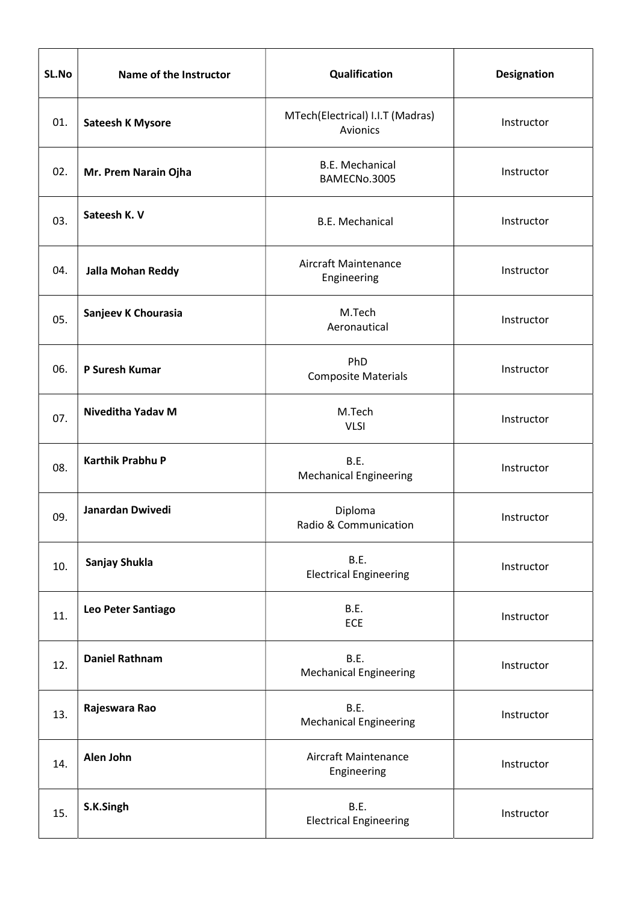| SL.No | Name of the Instructor   | Qualification                                | Designation |
|-------|--------------------------|----------------------------------------------|-------------|
| 01.   | <b>Sateesh K Mysore</b>  | MTech(Electrical) I.I.T (Madras)<br>Avionics | Instructor  |
| 02.   | Mr. Prem Narain Ojha     | <b>B.E. Mechanical</b><br>BAMECNo.3005       | Instructor  |
| 03.   | Sateesh K. V             | <b>B.E. Mechanical</b>                       | Instructor  |
| 04.   | <b>Jalla Mohan Reddy</b> | Aircraft Maintenance<br>Engineering          | Instructor  |
| 05.   | Sanjeev K Chourasia      | M.Tech<br>Aeronautical                       | Instructor  |
| 06.   | P Suresh Kumar           | PhD<br><b>Composite Materials</b>            | Instructor  |
| 07.   | Niveditha Yadav M        | M.Tech<br><b>VLSI</b>                        | Instructor  |
| 08.   | <b>Karthik Prabhu P</b>  | B.E.<br><b>Mechanical Engineering</b>        | Instructor  |
| 09.   | Janardan Dwivedi         | Diploma<br>Radio & Communication             | Instructor  |
| 10.   | Sanjay Shukla            | B.E.<br><b>Electrical Engineering</b>        | Instructor  |
| 11.   | Leo Peter Santiago       | B.E.<br>ECE                                  | Instructor  |
| 12.   | <b>Daniel Rathnam</b>    | B.E.<br><b>Mechanical Engineering</b>        | Instructor  |
| 13.   | Rajeswara Rao            | B.E.<br><b>Mechanical Engineering</b>        | Instructor  |
| 14.   | Alen John                | Aircraft Maintenance<br>Engineering          | Instructor  |
| 15.   | S.K.Singh                | B.E.<br><b>Electrical Engineering</b>        | Instructor  |